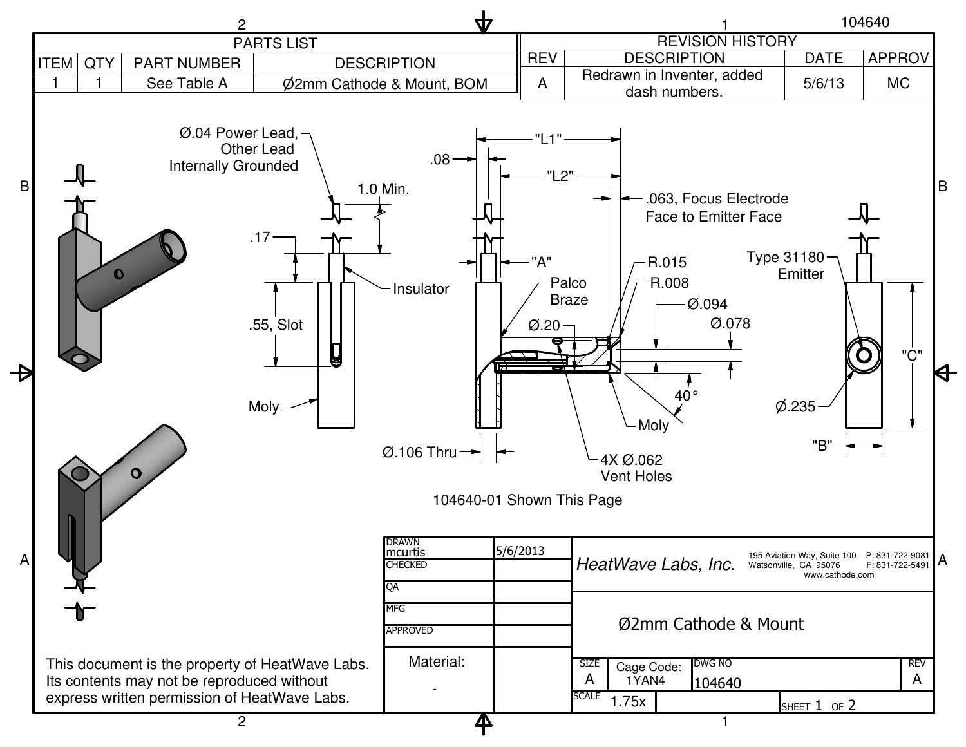